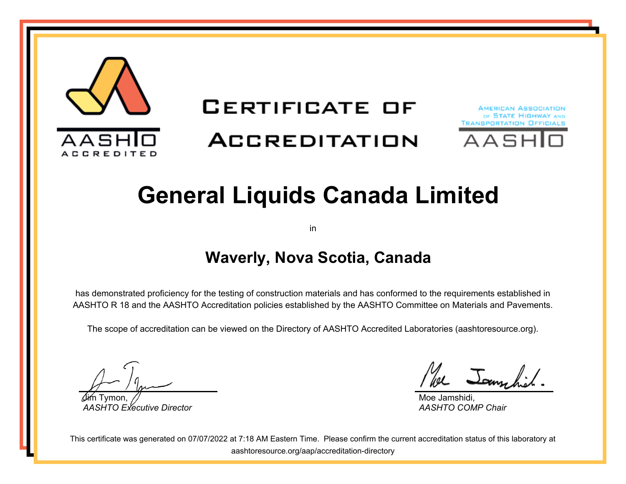

# **CERTIFICATE OF**

# **ACCREDITATION**



# **General Liquids Canada Limited**

in

#### **Waverly, Nova Scotia, Canada**

has demonstrated proficiency for the testing of construction materials and has conformed to the requirements established in AASHTO R 18 and the AASHTO Accreditation policies established by the AASHTO Committee on Materials and Pavements.

The scope of accreditation can be viewed on the Directory of AASHTO Accredited Laboratories (aashtoresource.org).

Jim Tymon, *AASHTO Executive Director*

We Jameshirl

Moe Jamshidi, *AASHTO COMP Chair*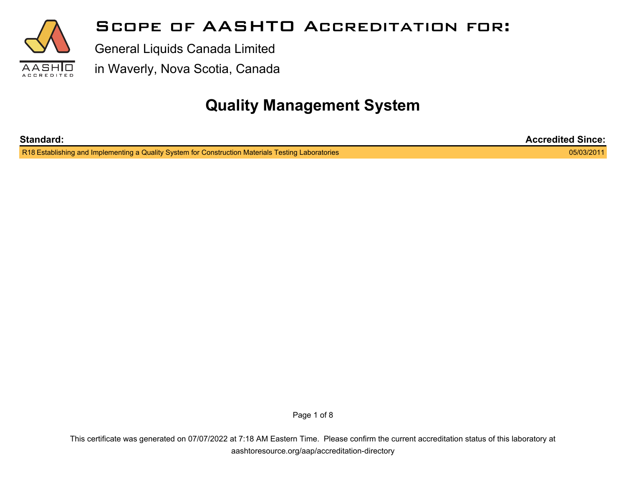

General Liquids Canada Limited

in Waverly, Nova Scotia, Canada

## **Quality Management System**

| <b>Standard:</b>                                                                                   | <b>Accredited Since:</b> |
|----------------------------------------------------------------------------------------------------|--------------------------|
| R18 Establishing and Implementing a Quality System for Construction Materials Testing Laboratories | 05/03/2011               |

Page 1 of 8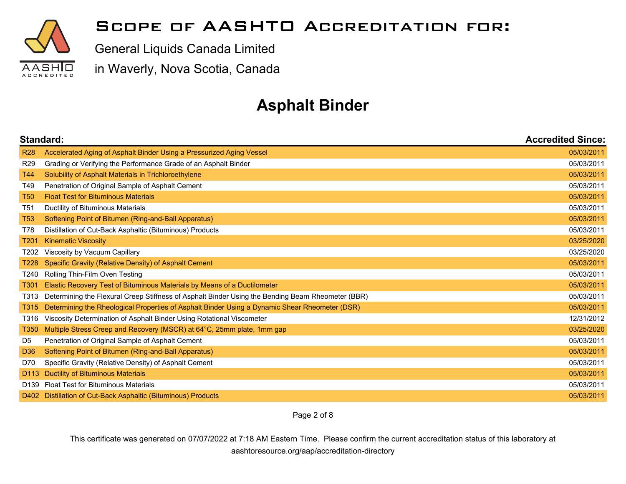

General Liquids Canada Limited

in Waverly, Nova Scotia, Canada

## **Asphalt Binder**

|                  | Standard:                                                                                         | <b>Accredited Since:</b> |
|------------------|---------------------------------------------------------------------------------------------------|--------------------------|
| <b>R28</b>       | Accelerated Aging of Asphalt Binder Using a Pressurized Aging Vessel                              | 05/03/2011               |
| R <sub>29</sub>  | Grading or Verifying the Performance Grade of an Asphalt Binder                                   | 05/03/2011               |
| T44              | Solubility of Asphalt Materials in Trichloroethylene                                              | 05/03/2011               |
| T49              | Penetration of Original Sample of Asphalt Cement                                                  | 05/03/2011               |
| <b>T50</b>       | <b>Float Test for Bituminous Materials</b>                                                        | 05/03/2011               |
| T <sub>51</sub>  | Ductility of Bituminous Materials                                                                 | 05/03/2011               |
| <b>T53</b>       | Softening Point of Bitumen (Ring-and-Ball Apparatus)                                              | 05/03/2011               |
| T78              | Distillation of Cut-Back Asphaltic (Bituminous) Products                                          | 05/03/2011               |
| T <sub>201</sub> | <b>Kinematic Viscosity</b>                                                                        | 03/25/2020               |
| T <sub>202</sub> | Viscosity by Vacuum Capillary                                                                     | 03/25/2020               |
| T228             | Specific Gravity (Relative Density) of Asphalt Cement                                             | 05/03/2011               |
| T240             | Rolling Thin-Film Oven Testing                                                                    | 05/03/2011               |
| T301             | Elastic Recovery Test of Bituminous Materials by Means of a Ductilometer                          | 05/03/2011               |
| T313             | Determining the Flexural Creep Stiffness of Asphalt Binder Using the Bending Beam Rheometer (BBR) | 05/03/2011               |
| T315             | Determining the Rheological Properties of Asphalt Binder Using a Dynamic Shear Rheometer (DSR)    | 05/03/2011               |
| T316             | Viscosity Determination of Asphalt Binder Using Rotational Viscometer                             | 12/31/2012               |
| T350             | Multiple Stress Creep and Recovery (MSCR) at 64°C, 25mm plate, 1mm gap                            | 03/25/2020               |
| D <sub>5</sub>   | Penetration of Original Sample of Asphalt Cement                                                  | 05/03/2011               |
| D <sub>36</sub>  | Softening Point of Bitumen (Ring-and-Ball Apparatus)                                              | 05/03/2011               |
| D70              | Specific Gravity (Relative Density) of Asphalt Cement                                             | 05/03/2011               |
| D <sub>113</sub> | <b>Ductility of Bituminous Materials</b>                                                          | 05/03/2011               |
| D <sub>139</sub> | <b>Float Test for Bituminous Materials</b>                                                        | 05/03/2011               |
|                  | D402 Distillation of Cut-Back Asphaltic (Bituminous) Products                                     | 05/03/2011               |

Page 2 of 8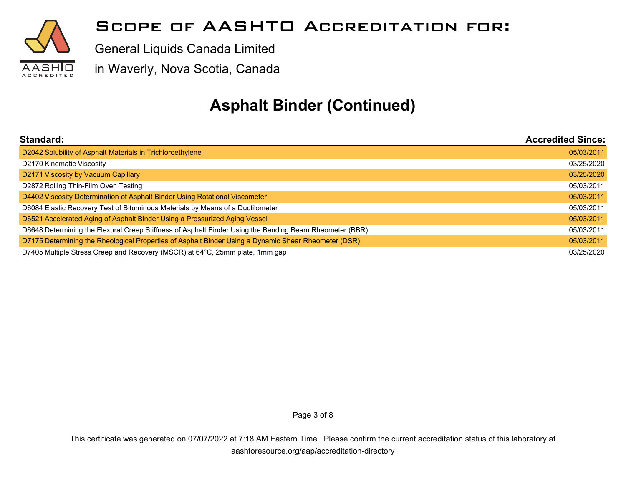

General Liquids Canada Limited

in Waverly, Nova Scotia, Canada

## **Asphalt Binder (Continued)**

| Standard:                                                                                               | <b>Accredited Since:</b> |
|---------------------------------------------------------------------------------------------------------|--------------------------|
| D2042 Solubility of Asphalt Materials in Trichloroethylene                                              | 05/03/2011               |
| D2170 Kinematic Viscosity                                                                               | 03/25/2020               |
| D2171 Viscosity by Vacuum Capillary                                                                     | 03/25/2020               |
| D2872 Rolling Thin-Film Oven Testing                                                                    | 05/03/2011               |
| D4402 Viscosity Determination of Asphalt Binder Using Rotational Viscometer                             | 05/03/2011               |
| D6084 Elastic Recovery Test of Bituminous Materials by Means of a Ductilometer                          | 05/03/2011               |
| D6521 Accelerated Aging of Asphalt Binder Using a Pressurized Aging Vessel                              | 05/03/2011               |
| D6648 Determining the Flexural Creep Stiffness of Asphalt Binder Using the Bending Beam Rheometer (BBR) | 05/03/2011               |
| D7175 Determining the Rheological Properties of Asphalt Binder Using a Dynamic Shear Rheometer (DSR)    | 05/03/2011               |
| D7405 Multiple Stress Creep and Recovery (MSCR) at 64°C, 25mm plate, 1mm gap                            | 03/25/2020               |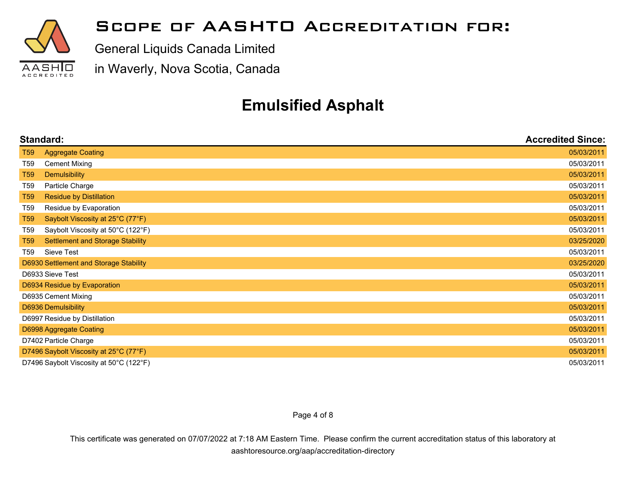

General Liquids Canada Limited

in Waverly, Nova Scotia, Canada

## **Emulsified Asphalt**

| Standard:                               |                                         | <b>Accredited Since:</b> |
|-----------------------------------------|-----------------------------------------|--------------------------|
| T <sub>59</sub>                         | <b>Aggregate Coating</b>                | 05/03/2011               |
| T <sub>59</sub>                         | <b>Cement Mixing</b>                    | 05/03/2011               |
| T <sub>59</sub>                         | <b>Demulsibility</b>                    | 05/03/2011               |
| T <sub>59</sub>                         | Particle Charge                         | 05/03/2011               |
| T <sub>59</sub>                         | <b>Residue by Distillation</b>          | 05/03/2011               |
| T <sub>59</sub>                         | Residue by Evaporation                  | 05/03/2011               |
| T <sub>59</sub>                         | Saybolt Viscosity at 25°C (77°F)        | 05/03/2011               |
| T <sub>59</sub>                         | Saybolt Viscosity at 50°C (122°F)       | 05/03/2011               |
| T <sub>59</sub>                         | <b>Settlement and Storage Stability</b> | 03/25/2020               |
| T59                                     | Sieve Test                              | 05/03/2011               |
|                                         | D6930 Settlement and Storage Stability  | 03/25/2020               |
|                                         | D6933 Sieve Test                        | 05/03/2011               |
|                                         | D6934 Residue by Evaporation            | 05/03/2011               |
|                                         | D6935 Cement Mixing                     | 05/03/2011               |
|                                         | D6936 Demulsibility                     | 05/03/2011               |
|                                         | D6997 Residue by Distillation           | 05/03/2011               |
|                                         | D6998 Aggregate Coating                 | 05/03/2011               |
|                                         | D7402 Particle Charge                   | 05/03/2011               |
|                                         | D7496 Saybolt Viscosity at 25°C (77°F)  | 05/03/2011               |
| D7496 Saybolt Viscosity at 50°C (122°F) |                                         |                          |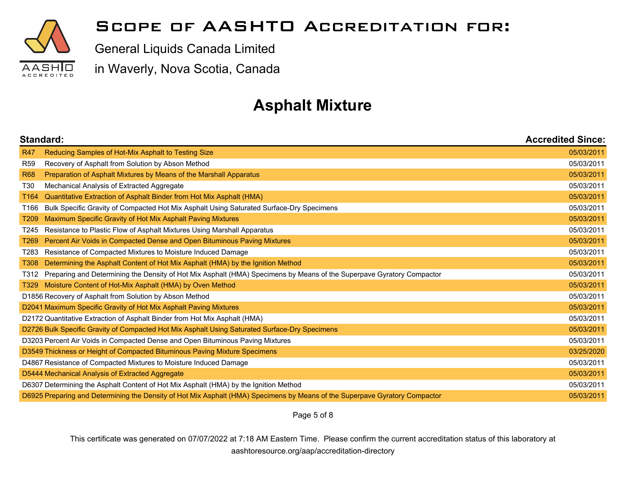

General Liquids Canada Limited

in Waverly, Nova Scotia, Canada

## **Asphalt Mixture**

| Standard:        |                                                                                                                             | <b>Accredited Since:</b> |
|------------------|-----------------------------------------------------------------------------------------------------------------------------|--------------------------|
| <b>R47</b>       | Reducing Samples of Hot-Mix Asphalt to Testing Size                                                                         | 05/03/2011               |
| <b>R59</b>       | Recovery of Asphalt from Solution by Abson Method                                                                           | 05/03/2011               |
| <b>R68</b>       | Preparation of Asphalt Mixtures by Means of the Marshall Apparatus                                                          | 05/03/2011               |
| T30              | Mechanical Analysis of Extracted Aggregate                                                                                  | 05/03/2011               |
| T <sub>164</sub> | Quantitative Extraction of Asphalt Binder from Hot Mix Asphalt (HMA)                                                        | 05/03/2011               |
| T166             | Bulk Specific Gravity of Compacted Hot Mix Asphalt Using Saturated Surface-Dry Specimens                                    | 05/03/2011               |
| T <sub>209</sub> | Maximum Specific Gravity of Hot Mix Asphalt Paving Mixtures                                                                 | 05/03/2011               |
| T245             | Resistance to Plastic Flow of Asphalt Mixtures Using Marshall Apparatus                                                     | 05/03/2011               |
| T <sub>269</sub> | Percent Air Voids in Compacted Dense and Open Bituminous Paving Mixtures                                                    | 05/03/2011               |
| T283             | Resistance of Compacted Mixtures to Moisture Induced Damage                                                                 | 05/03/2011               |
| T308             | Determining the Asphalt Content of Hot Mix Asphalt (HMA) by the Ignition Method                                             | 05/03/2011               |
| T312             | Preparing and Determining the Density of Hot Mix Asphalt (HMA) Specimens by Means of the Superpave Gyratory Compactor       | 05/03/2011               |
| T329             | Moisture Content of Hot-Mix Asphalt (HMA) by Oven Method                                                                    | 05/03/2011               |
|                  | D1856 Recovery of Asphalt from Solution by Abson Method                                                                     | 05/03/2011               |
|                  | D2041 Maximum Specific Gravity of Hot Mix Asphalt Paving Mixtures                                                           | 05/03/2011               |
|                  | D2172 Quantitative Extraction of Asphalt Binder from Hot Mix Asphalt (HMA)                                                  | 05/03/2011               |
|                  | D2726 Bulk Specific Gravity of Compacted Hot Mix Asphalt Using Saturated Surface-Dry Specimens                              | 05/03/2011               |
|                  | D3203 Percent Air Voids in Compacted Dense and Open Bituminous Paving Mixtures                                              | 05/03/2011               |
|                  | D3549 Thickness or Height of Compacted Bituminous Paving Mixture Specimens                                                  | 03/25/2020               |
|                  | D4867 Resistance of Compacted Mixtures to Moisture Induced Damage                                                           | 05/03/2011               |
|                  | D5444 Mechanical Analysis of Extracted Aggregate                                                                            | 05/03/2011               |
|                  | D6307 Determining the Asphalt Content of Hot Mix Asphalt (HMA) by the Ignition Method                                       | 05/03/2011               |
|                  | D6925 Preparing and Determining the Density of Hot Mix Asphalt (HMA) Specimens by Means of the Superpave Gyratory Compactor | 05/03/2011               |

Page 5 of 8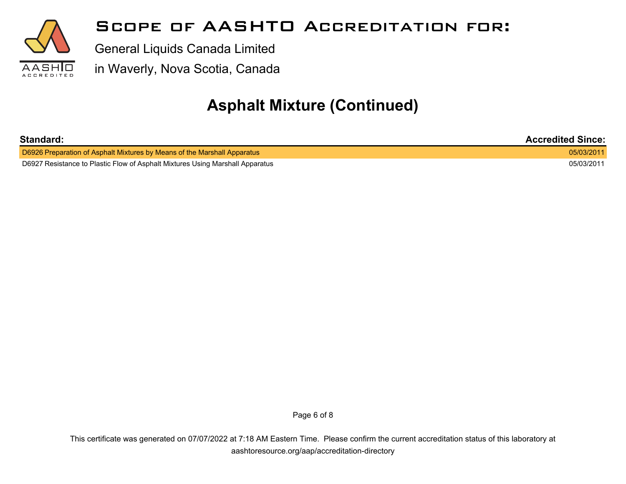

General Liquids Canada Limited

in Waverly, Nova Scotia, Canada

#### **Asphalt Mixture (Continued)**

| Standard:                                                                     | <b>Accredited Since:</b> |
|-------------------------------------------------------------------------------|--------------------------|
| D6926 Preparation of Asphalt Mixtures by Means of the Marshall Apparatus      | 05/03/2011               |
| D6927 Resistance to Plastic Flow of Asphalt Mixtures Using Marshall Apparatus | 05/03/2011               |

Page 6 of 8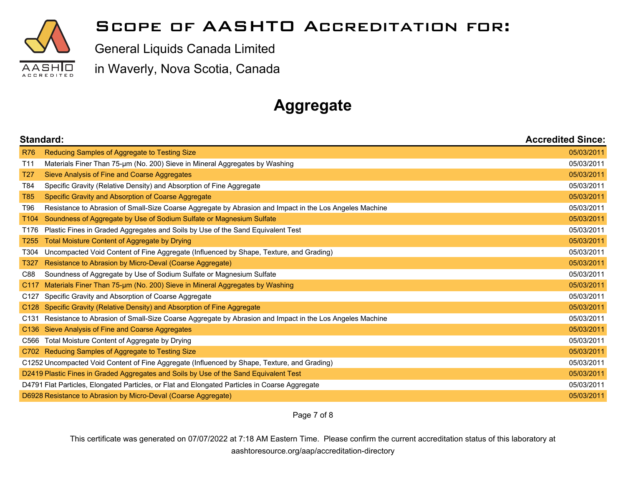

General Liquids Canada Limited

in Waverly, Nova Scotia, Canada

## **Aggregate**

|                  | Standard:                                                                                               | <b>Accredited Since:</b> |
|------------------|---------------------------------------------------------------------------------------------------------|--------------------------|
| <b>R76</b>       | Reducing Samples of Aggregate to Testing Size                                                           | 05/03/2011               |
| T <sub>11</sub>  | Materials Finer Than 75-µm (No. 200) Sieve in Mineral Aggregates by Washing                             | 05/03/2011               |
| <b>T27</b>       | Sieve Analysis of Fine and Coarse Aggregates                                                            | 05/03/2011               |
| T84              | Specific Gravity (Relative Density) and Absorption of Fine Aggregate                                    | 05/03/2011               |
| <b>T85</b>       | Specific Gravity and Absorption of Coarse Aggregate                                                     | 05/03/2011               |
| T96              | Resistance to Abrasion of Small-Size Coarse Aggregate by Abrasion and Impact in the Los Angeles Machine | 05/03/2011               |
| T <sub>104</sub> | Soundness of Aggregate by Use of Sodium Sulfate or Magnesium Sulfate                                    | 05/03/2011               |
| T176             | Plastic Fines in Graded Aggregates and Soils by Use of the Sand Equivalent Test                         | 05/03/2011               |
| T <sub>255</sub> | Total Moisture Content of Aggregate by Drying                                                           | 05/03/2011               |
| T304             | Uncompacted Void Content of Fine Aggregate (Influenced by Shape, Texture, and Grading)                  | 05/03/2011               |
| T327             | Resistance to Abrasion by Micro-Deval (Coarse Aggregate)                                                | 05/03/2011               |
| C88              | Soundness of Aggregate by Use of Sodium Sulfate or Magnesium Sulfate                                    | 05/03/2011               |
| C <sub>117</sub> | Materials Finer Than 75-µm (No. 200) Sieve in Mineral Aggregates by Washing                             | 05/03/2011               |
| C <sub>127</sub> | Specific Gravity and Absorption of Coarse Aggregate                                                     | 05/03/2011               |
| C <sub>128</sub> | Specific Gravity (Relative Density) and Absorption of Fine Aggregate                                    | 05/03/2011               |
| C <sub>131</sub> | Resistance to Abrasion of Small-Size Coarse Aggregate by Abrasion and Impact in the Los Angeles Machine | 05/03/2011               |
| C <sub>136</sub> | Sieve Analysis of Fine and Coarse Aggregates                                                            | 05/03/2011               |
| C566             | Total Moisture Content of Aggregate by Drying                                                           | 05/03/2011               |
|                  | C702 Reducing Samples of Aggregate to Testing Size                                                      | 05/03/2011               |
|                  | C1252 Uncompacted Void Content of Fine Aggregate (Influenced by Shape, Texture, and Grading)            | 05/03/2011               |
|                  | D2419 Plastic Fines in Graded Aggregates and Soils by Use of the Sand Equivalent Test                   | 05/03/2011               |
|                  | D4791 Flat Particles, Elongated Particles, or Flat and Elongated Particles in Coarse Aggregate          | 05/03/2011               |
|                  | D6928 Resistance to Abrasion by Micro-Deval (Coarse Aggregate)                                          | 05/03/2011               |

Page 7 of 8